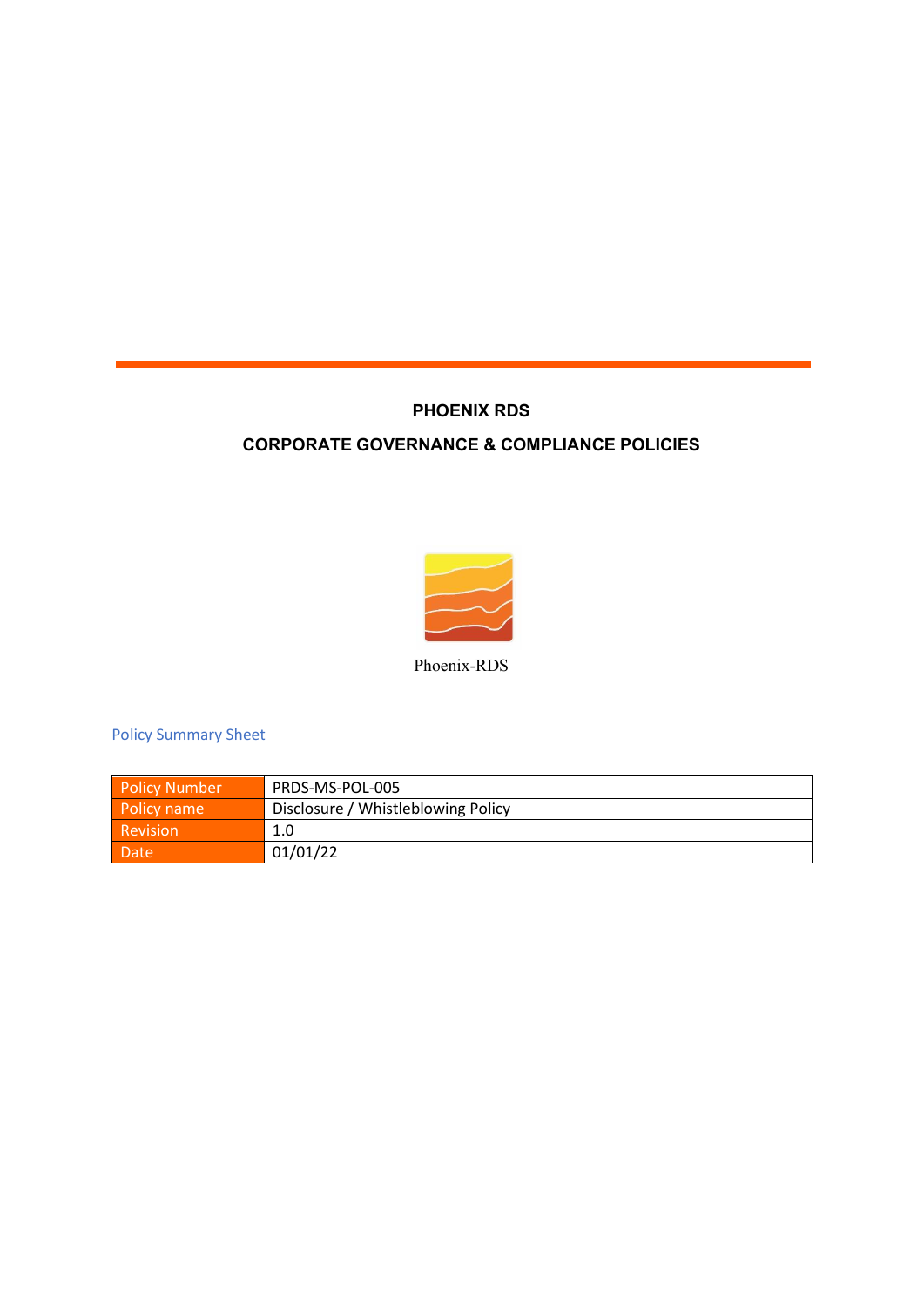# **PHOENIX RDS**

# **CORPORATE GOVERNANCE & COMPLIANCE POLICIES**



Phoenix-RDS

Policy Summary Sheet

| <b>Policy Number</b> | PRDS-MS-POL-005                    |
|----------------------|------------------------------------|
| Policy name          | Disclosure / Whistleblowing Policy |
| <b>Revision</b>      | 1.0                                |
| Date                 | 01/01/22                           |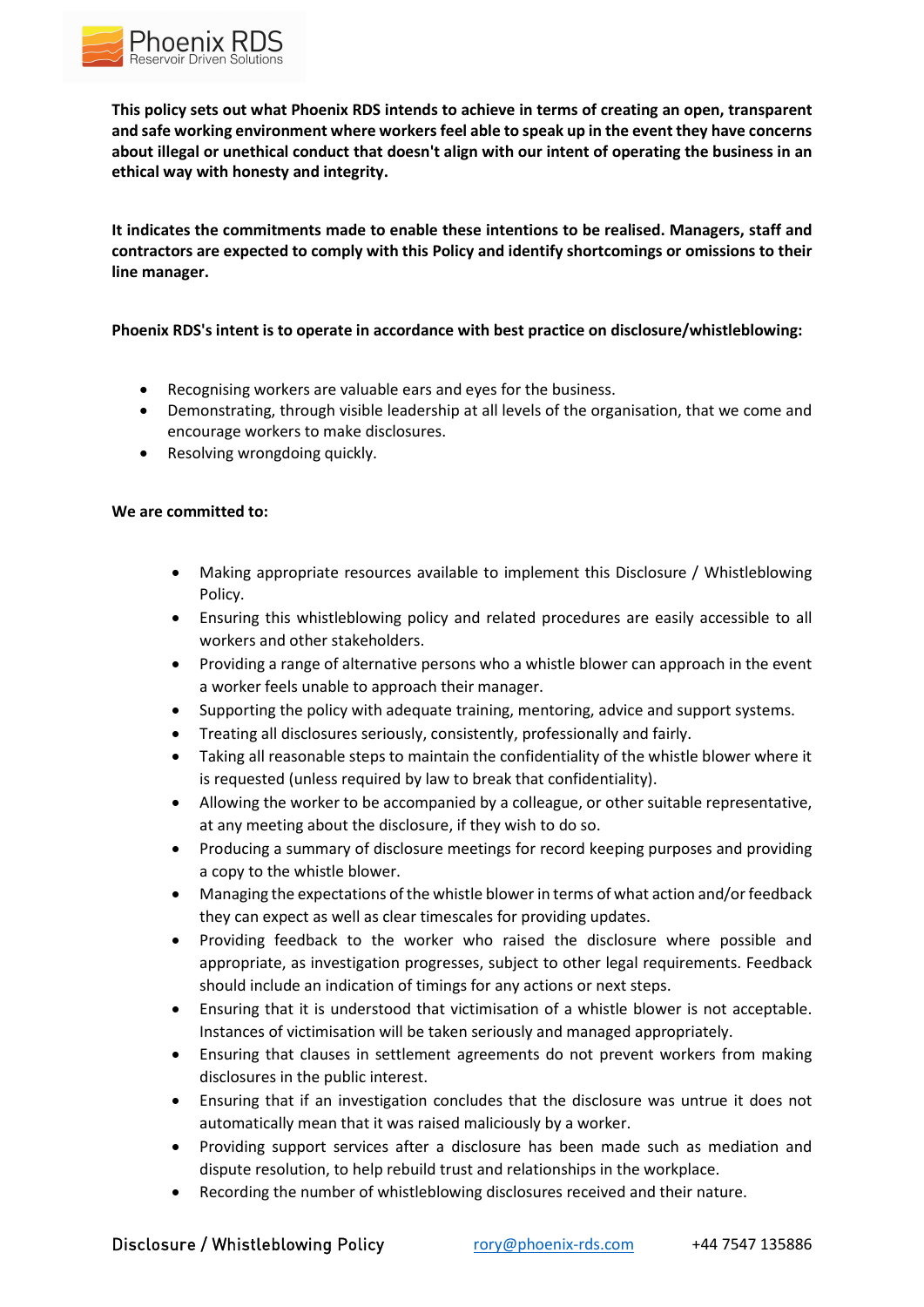

**This policy sets out what Phoenix RDS intends to achieve in terms of creating an open, transparent and safe working environment where workers feel able to speak up in the event they have concerns about illegal or unethical conduct that doesn't align with our intent of operating the business in an ethical way with honesty and integrity.**

**It indicates the commitments made to enable these intentions to be realised. Managers, staff and contractors are expected to comply with this Policy and identify shortcomings or omissions to their line manager.**

## **Phoenix RDS's intent is to operate in accordance with best practice on disclosure/whistleblowing:**

- Recognising workers are valuable ears and eyes for the business.
- Demonstrating, through visible leadership at all levels of the organisation, that we come and encourage workers to make disclosures.
- Resolving wrongdoing quickly.

### **We are committed to:**

- Making appropriate resources available to implement this Disclosure / Whistleblowing Policy.
- Ensuring this whistleblowing policy and related procedures are easily accessible to all workers and other stakeholders.
- Providing a range of alternative persons who a whistle blower can approach in the event a worker feels unable to approach their manager.
- Supporting the policy with adequate training, mentoring, advice and support systems.
- Treating all disclosures seriously, consistently, professionally and fairly.
- Taking all reasonable steps to maintain the confidentiality of the whistle blower where it is requested (unless required by law to break that confidentiality).
- Allowing the worker to be accompanied by a colleague, or other suitable representative, at any meeting about the disclosure, if they wish to do so.
- Producing a summary of disclosure meetings for record keeping purposes and providing a copy to the whistle blower.
- Managing the expectations of the whistle blower in terms of what action and/or feedback they can expect as well as clear timescales for providing updates.
- Providing feedback to the worker who raised the disclosure where possible and appropriate, as investigation progresses, subject to other legal requirements. Feedback should include an indication of timings for any actions or next steps.
- Ensuring that it is understood that victimisation of a whistle blower is not acceptable. Instances of victimisation will be taken seriously and managed appropriately.
- Ensuring that clauses in settlement agreements do not prevent workers from making disclosures in the public interest.
- Ensuring that if an investigation concludes that the disclosure was untrue it does not automatically mean that it was raised maliciously by a worker.
- Providing support services after a disclosure has been made such as mediation and dispute resolution, to help rebuild trust and relationships in the workplace.
- Recording the number of whistleblowing disclosures received and their nature.